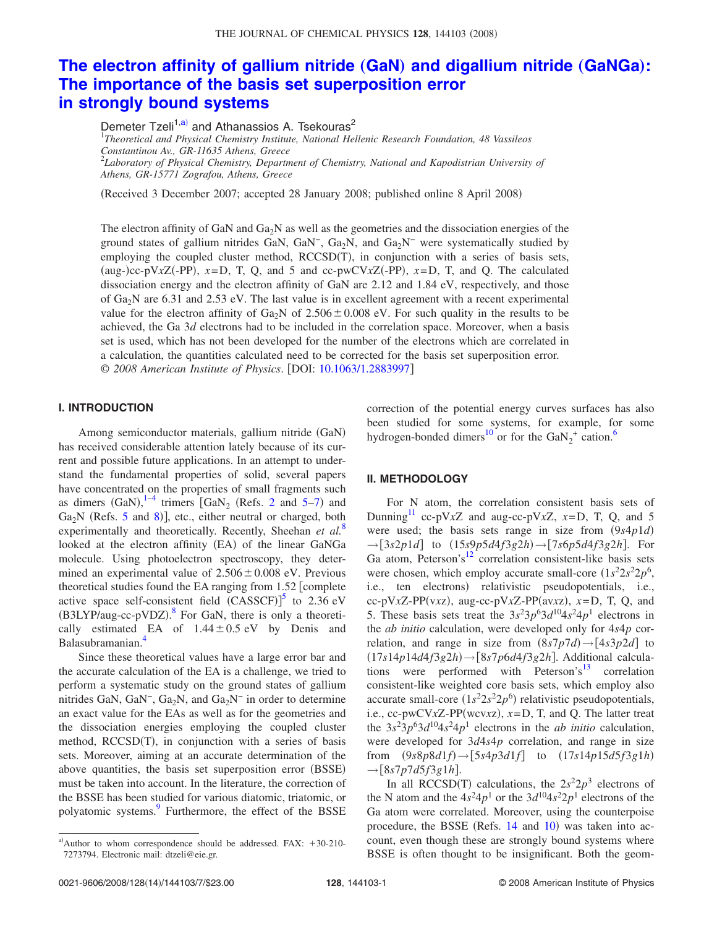# **[The electron affinity of gallium nitride](http://dx.doi.org/10.1063/1.2883997)** (GaN) and digallium nitride (GaNGa): **[The importance of the basis set superposition error](http://dx.doi.org/10.1063/1.2883997) [in strongly bound systems](http://dx.doi.org/10.1063/1.2883997)**

Demeter Tzeli<sup>1[,a](#page-0-0))</sup> and Athanassios A. Tsekouras<sup>2</sup>

1 *Theoretical and Physical Chemistry Institute, National Hellenic Research Foundation, 48 Vassileos Constantinou Av., GR-11635 Athens, Greece* 2 *Laboratory of Physical Chemistry, Department of Chemistry, National and Kapodistrian University of*

*Athens, GR-15771 Zografou, Athens, Greece*

(Received 3 December 2007; accepted 28 January 2008; published online 8 April 2008)

The electron affinity of GaN and  $Ga<sub>2</sub>N$  as well as the geometries and the dissociation energies of the ground states of gallium nitrides GaN, GaN<sup>-</sup>, Ga<sub>2</sub>N, and Ga<sub>2</sub>N<sup>-</sup> were systematically studied by employing the coupled cluster method, RCCSD(T), in conjunction with a series of basis sets, (aug-)cc-pV $xZ$ (-PP),  $x = D$ , T, Q, and 5 and cc-pwCV $xZ$ (-PP),  $x = D$ , T, and Q. The calculated dissociation energy and the electron affinity of GaN are 2.12 and 1.84 eV, respectively, and those of  $Ga<sub>2</sub>N$  are 6.31 and 2.53 eV. The last value is in excellent agreement with a recent experimental value for the electron affinity of Ga<sub>2</sub>N of 2.506  $\pm$  0.008 eV. For such quality in the results to be achieved, the Ga 3*d* electrons had to be included in the correlation space. Moreover, when a basis set is used, which has not been developed for the number of the electrons which are correlated in a calculation, the quantities calculated need to be corrected for the basis set superposition error. © *2008 American Institute of Physics*. DOI: [10.1063/1.2883997](http://dx.doi.org/10.1063/1.2883997)

## **I. INTRODUCTION**

Among semiconductor materials, gallium nitride (GaN) has received considerable attention lately because of its current and possible future applications. In an attempt to understand the fundamental properties of solid, several papers have concentrated on the properties of small fragments such as dimers  $(GaN)$ ,  $^{1-4}$  $^{1-4}$  $^{1-4}$  trimers  $[GaN<sub>2</sub> (Refs. 2 and 5-7)$  $[GaN<sub>2</sub> (Refs. 2 and 5-7)$  $[GaN<sub>2</sub> (Refs. 2 and 5-7)$  $[GaN<sub>2</sub> (Refs. 2 and 5-7)$  $[GaN<sub>2</sub> (Refs. 2 and 5-7)$  and Ga<sub>2</sub>N (Refs. [5](#page-6-3) and [8](#page-6-5))], etc., either neutral or charged, both experimentally and theoretically. Recently, Sheehan *et al.*[8](#page-6-5) looked at the electron affinity (EA) of the linear GaNGa molecule. Using photoelectron spectroscopy, they determined an experimental value of  $2.506 \pm 0.008$  eV. Previous theoretical studies found the EA ranging from  $1.52$  [complete active space self-consistent field  $(CASSCF)$ <sup>[5](#page-6-3)</sup> to 2.36 eV (B3LYP/aug-cc-pVDZ).<sup>[8](#page-6-5)</sup> For GaN, there is only a theoretically estimated EA of  $1.44 \pm 0.5$  eV by Denis and Balasubramanian[.4](#page-6-1)

Since these theoretical values have a large error bar and the accurate calculation of the EA is a challenge, we tried to perform a systematic study on the ground states of gallium nitrides GaN, GaN<sup>-</sup>, Ga<sub>2</sub>N, and Ga<sub>2</sub>N<sup>-</sup> in order to determine an exact value for the EAs as well as for the geometries and the dissociation energies employing the coupled cluster method, RCCSD(T), in conjunction with a series of basis sets. Moreover, aiming at an accurate determination of the above quantities, the basis set superposition error (BSSE) must be taken into account. In the literature, the correction of the BSSE has been studied for various diatomic, triatomic, or polyatomic systems.<sup>9</sup> Furthermore, the effect of the BSSE

correction of the potential energy curves surfaces has also been studied for some systems, for example, for some hydrogen-bonded dimers<sup>10</sup> or for the  $\text{GaN}_2^+$  cation.<sup>6</sup>

### **II. METHODOLOGY**

For N atom, the correlation consistent basis sets of Dunning<sup>11</sup> cc-pV $xZ$  and aug-cc-pV $xZ$ ,  $x=D$ , T, Q, and 5 were used; the basis sets range in size from  $(9s4p1d)$  $\rightarrow$  [3*s*2*p*1*d*] to (15*s*9*p*5*d*4*f*3*g*2*h*)  $\rightarrow$  [7*s*6*p*5*d*4*f*3*g*2*h*]. For Ga atom, Peterson's<sup>12</sup> correlation consistent-like basis sets were chosen, which employ accurate small-core  $(1s^2 2s^2 2p^6)$ , i.e., ten electrons) relativistic pseudopotentials, i.e.,  $cc-pV_xZ-PP(v_xz)$ , aug-cc-pVxZ-PP(avxz),  $x=D$ , T, Q, and 5. These basis sets treat the  $3s^23p^63d^{10}4s^24p^1$  electrons in the *ab initio* calculation, were developed only for 4*s*4*p* correlation, and range in size from  $(8s7p7d) \rightarrow [4s3p2d]$  to  $(17s14p14d4f3g2h)$  →  $[8s7p6d4f3g2h]$ . Additional calculations were performed with Peterson's $13$  correlation consistent-like weighted core basis sets, which employ also accurate small-core  $(1s^2 2s^2 2p^6)$  relativistic pseudopotentials, i.e.,  $cc$ -pwCV*x*Z-PP(wcv*xz*),  $x = D$ , T, and Q. The latter treat the  $3s^23p^63d^{10}4s^24p^1$  electrons in the *ab initio* calculation, were developed for 3*d*4*s*4*p* correlation, and range in size from  $(9s8p8d1f)$   $\rightarrow$   $[5s4p3d1f]$  to  $(17s14p15d5f3g1h)$  $\rightarrow$ [8*s*7*p*7*d*5*f*3*g*1*h*].

In all RCCSD(T) calculations, the  $2s^2 2p^3$  electrons of the N atom and the  $4s^24p^1$  or the  $3d^{10}4s^22p^1$  electrons of the Ga atom were correlated. Moreover, using the counterpoise procedure, the BSSE (Refs. [14](#page-6-12) and [10](#page-6-7)) was taken into account, even though these are strongly bound systems where BSSE is often thought to be insignificant. Both the geom-

<span id="page-0-0"></span>a) Author to whom correspondence should be addressed. FAX:  $+30-210-$ 7273794. Electronic mail: dtzeli@eie.gr.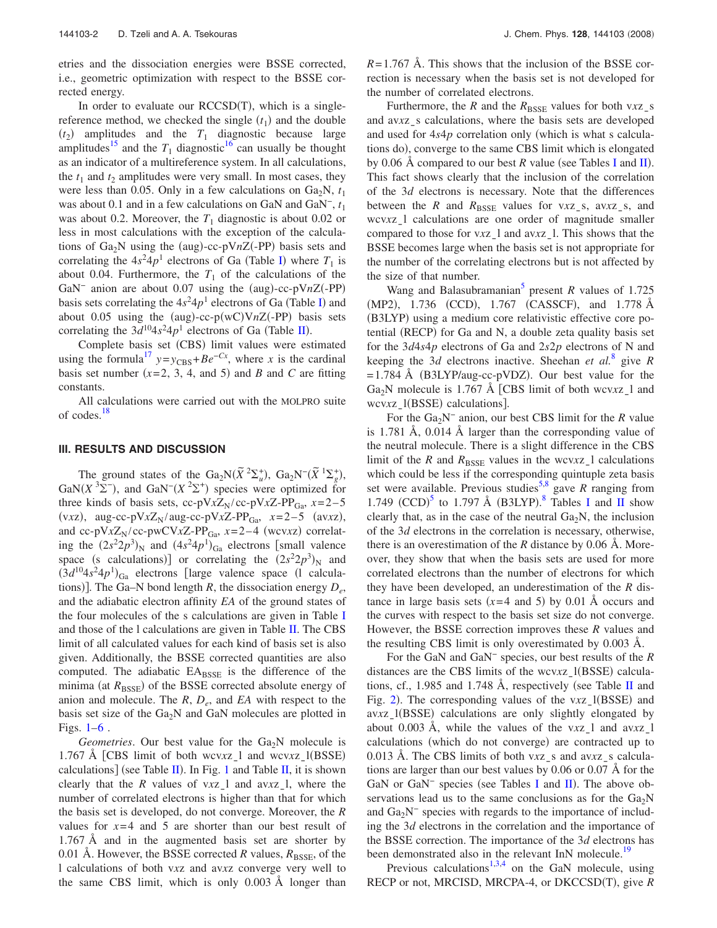etries and the dissociation energies were BSSE corrected, i.e., geometric optimization with respect to the BSSE corrected energy.

In order to evaluate our RCCSD(T), which is a singlereference method, we checked the single  $(t_1)$  and the double  $(t_2)$  amplitudes and the  $T_1$  diagnostic because large amplitudes<sup>15</sup> and the  $T_1$  diagnostic<sup>16</sup> can usually be thought as an indicator of a multireference system. In all calculations, the  $t_1$  and  $t_2$  amplitudes were very small. In most cases, they were less than 0.05. Only in a few calculations on  $Ga<sub>2</sub>N$ ,  $t<sub>1</sub>$ was about 0.1 and in a few calculations on GaN and GaN−, *t*<sup>1</sup> was about 0.2. Moreover, the  $T_1$  diagnostic is about 0.02 or less in most calculations with the exception of the calculations of  $Ga_2N$  using the (aug)-cc-pVnZ(-PP) basis sets and correlating the  $4s^24p^1$  electrons of Ga (Table [I](#page-2-0)) where  $T_1$  is about 0.04. Furthermore, the  $T_1$  of the calculations of the GaN<sup>-</sup> anion are about 0.07 using the (aug)-cc-pVnZ(-PP) basis sets correlating the  $4s^24p^1$  electrons of Ga (Table [I](#page-2-0)) and about 0.05 using the  $(aug)-cc-p(wC)VnZ(-PP)$  basis sets correlating the  $3d^{10}4s^24p^1$  electrons of Ga (Table [II](#page-3-0)).

Complete basis set (CBS) limit values were estimated using the formula<sup>17</sup>  $y=y_{\text{CBS}}+Be^{-Cx}$ , where *x* is the cardinal basis set number  $(x=2, 3, 4, \text{ and } 5)$  and *B* and *C* are fitting constants.

All calculations were carried out with the MOLPRO suite of codes.<sup>18</sup>

#### **III. RESULTS AND DISCUSSION**

The ground states of the  $Ga_2N(\tilde{X}^2\Sigma_u^+)$ ,  $Ga_2N^-(\tilde{X}^1\Sigma_g^+)$ GaN( $X$ <sup>3</sup> $\Sigma$ <sup>-</sup>), and GaN<sup>-</sup>( $X$ <sup>2</sup> $\Sigma$ <sup>+</sup>) species were optimized for three kinds of basis sets, cc-pV $xZ_N$ /cc-pV $xZ$ -PP<sub>Ga</sub>,  $x=2-5$ (v*xz*), aug-cc-pV*xZ*<sub>N</sub>/aug-cc-pV*xZ*-PP<sub>Ga</sub>, *x*=2–5 (av*xz*), and cc-pV $xZ_N$ /cc-pwCV $xZ$ -PP<sub>Ga</sub>,  $x=2-4$  (wcv*xz*) correlating the  $(2s^2 2p^3)_{\text{N}}$  and  $(4s^2 4p^1)_{\text{Ga}}$  electrons [small valence space (s calculations)] or correlating the  $(2s^2 2p^3)_N$  and  $(3d^{10}4s^24p^1)_{Ga}$  electrons [large valence space (1 calculations)]. The Ga–N bond length *R*, the dissociation energy  $D_e$ , and the adiabatic electron affinity *EA* of the ground states of the four molecules of the s calculations are given in Table [I](#page-2-0) and those of the l calculations are given in Table [II.](#page-3-0) The CBS limit of all calculated values for each kind of basis set is also given. Additionally, the BSSE corrected quantities are also computed. The adiabatic  $EA<sub>BSSE</sub>$  is the difference of the minima (at  $R_{\text{BSSE}}$ ) of the BSSE corrected absolute energy of anion and molecule. The  $R$ ,  $D_e$ , and  $EA$  with respect to the basis set size of the  $Ga<sub>2</sub>N$  and  $GaN$  molecules are plotted in Figs.  $1-6$  $1-6$ .

 $Geometries$ . Our best value for the  $Ga<sub>2</sub>N$  molecule is 1.767 Å [CBS limit of both wcvxz<sub>1</sub> and wcvxz<sub>1</sub>(BSSE) calculations] (see Table [II](#page-3-0)). In Fig. [1](#page-4-0) and Table [II,](#page-3-0) it is shown clearly that the *R* values of v*x*zl and av*x*zl, where the number of correlated electrons is higher than that for which the basis set is developed, do not converge. Moreover, the *R* values for  $x=4$  and 5 are shorter than our best result of 1.767 Å and in the augmented basis set are shorter by 0.01 Å. However, the BSSE corrected *R* values,  $R_{\text{BSE}}$ , of the l calculations of both v*x*z and av*x*z converge very well to the same CBS limit, which is only 0.003 Å longer than  $R = 1.767$  Å. This shows that the inclusion of the BSSE correction is necessary when the basis set is not developed for the number of correlated electrons.

Furthermore, the *R* and the  $R_{\text{BSSE}}$  values for both v*x*z<sub>s</sub> and av*xz* s calculations, where the basis sets are developed and used for  $4s4p$  correlation only (which is what s calculations do), converge to the same CBS limit which is elongated by 0.06 Å compared to our best *R* value (see Tables [I](#page-2-0) and [II](#page-3-0)). This fact shows clearly that the inclusion of the correlation of the 3*d* electrons is necessary. Note that the differences between the *R* and  $R_{\text{BSSE}}$  values for v*xz*<sub>s</sub>, av*xz*<sub>s</sub>, and wcv*xz*<sub>1</sub> calculations are one order of magnitude smaller compared to those for v*x*z<sub>\_</sub>l and av*x*z<sub>\_</sub>l. This shows that the BSSE becomes large when the basis set is not appropriate for the number of the correlating electrons but is not affected by the size of that number.

Wang and Balasubramanian<sup>5</sup> present *R* values of 1.725 (MP2), 1.736 (CCD), 1.767 (CASSCF), and 1.778 Å (B3LYP) using a medium core relativistic effective core potential (RECP) for Ga and N, a double zeta quality basis set for the 3*d*4*s*4*p* electrons of Ga and 2*s*2*p* electrons of N and keeping the 3*d* electrons inactive. Sheehan *et al.*[8](#page-6-5) give *R*  $= 1.784$  Å (B3LYP/aug-cc-pVDZ). Our best value for the Ga<sub>2</sub>N molecule is 1.767 Å [CBS limit of both wcvxz<sub>1</sub> and wcv*x*z\_l(BSSE) calculations].

For the Ga2N<sup>−</sup> anion, our best CBS limit for the *R* value is 1.781 Å, 0.014 Å larger than the corresponding value of the neutral molecule. There is a slight difference in the CBS limit of the *R* and  $R_{\text{BSSE}}$  values in the wcvxz<sub>1</sub> calculations which could be less if the corresponding quintuple zeta basis set were available. Previous studies<sup>5[,8](#page-6-5)</sup> gave *R* ranging from 1.749  $(CCD)^5$  $(CCD)^5$  to 1.797 Å (B3LYP).<sup>[8](#page-6-5)</sup> Tables [I](#page-2-0) and [II](#page-3-0) show clearly that, as in the case of the neutral  $Ga<sub>2</sub>N$ , the inclusion of the 3*d* electrons in the correlation is necessary, otherwise, there is an overestimation of the *R* distance by 0.06 Å. Moreover, they show that when the basis sets are used for more correlated electrons than the number of electrons for which they have been developed, an underestimation of the *R* distance in large basis sets  $(x=4 \text{ and } 5)$  by 0.01 Å occurs and the curves with respect to the basis set size do not converge. However, the BSSE correction improves these *R* values and the resulting CBS limit is only overestimated by 0.003 Å.

For the GaN and GaN<sup>−</sup> species, our best results of the *R* distances are the CBS limits of the wcvxz<sub>\_</sub>l(BSSE) calcula-tions, cf., 1.985 and 1.748 A, respectively (see Table [II](#page-3-0) and Fig. [2](#page-4-1)). The corresponding values of the vxz<sub>\_</sub>l(BSSE) and av*x*z\_l(BSSE) calculations are only slightly elongated by about 0.003 Å, while the values of the v*x*z<sub>1</sub> and av*x*z<sub>1</sub> calculations (which do not converge) are contracted up to 0.013 A. The CBS limits of both v*xz* s and av*xz* s calculations are larger than our best values by 0.06 or 0.07 Å for the GaN or GaN<sup>-</sup> species (see Tables [I](#page-2-0) and [II](#page-3-0)). The above observations lead us to the same conclusions as for the  $Ga<sub>2</sub>N$ and Ga<sub>2</sub>N<sup>−</sup> species with regards to the importance of including the 3*d* electrons in the correlation and the importance of the BSSE correction. The importance of the 3*d* electrons has been demonstrated also in the relevant InN molecule.<sup>19</sup>

Previous calculations<sup>1,[3,](#page-6-18)[4](#page-6-1)</sup> on the GaN molecule, using RECP or not, MRCISD, MRCPA-4, or DKCCSD(T), give *R*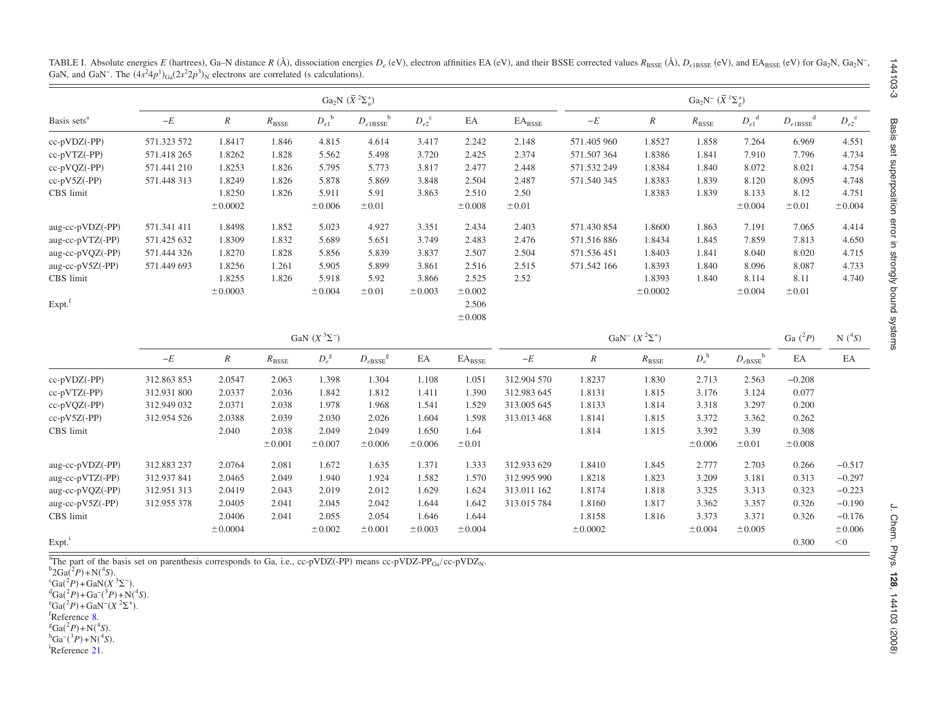|                         |             |                     |                | Ga <sub>2</sub> N <sup>-</sup> $(\widetilde{X}^{1}\Sigma_{e}^{+})$ |                                                            |                    |                         |                         |                                  |                |                |                              |                                                           |                    |
|-------------------------|-------------|---------------------|----------------|--------------------------------------------------------------------|------------------------------------------------------------|--------------------|-------------------------|-------------------------|----------------------------------|----------------|----------------|------------------------------|-----------------------------------------------------------|--------------------|
| Basis sets <sup>a</sup> | $-E$        | $\boldsymbol{R}$    | $R_{\rm BSSE}$ | $D_{e1}^{\ \ b}$                                                   | $D_{e1\mathrm{BSSE}}^{\phantom{e1\mathrm{B}}\phantom{e1}}$ | $D_{e2}^{\quad c}$ | EA                      | $\text{EA}_\text{BSSE}$ | $-\boldsymbol{E}$                | $\mathbb R$    | $R_{\rm BSSE}$ | ${D_{e1}}^{\rm d}$           | $D_{e1\mathrm{BSSE}}^{\phantom{e1\mathrm{B}}^\mathrm{d}}$ | $D_{e2}^{\quad e}$ |
| cc-pVDZ(-PP)            | 571.323 572 | 1.8417              | 1.846          | 4.815                                                              | 4.614                                                      | 3.417              | 2.242                   | 2.148                   | 571.405 960                      | 1.8527         | 1.858          | 7.264                        | 6.969                                                     | 4.551              |
| $cc-pVTZ(-PP)$          | 571.418 265 | 1.8262              | 1.828          | 5.562                                                              | 5.498                                                      | 3.720              | 2.425                   | 2.374                   | 571.507364                       | 1.8386         | 1.841          | 7.910                        | 7.796                                                     | 4.734              |
| $cc-pVQZ(-PP)$          | 571.441 210 | 1.8253              | 1.826          | 5.795                                                              | 5.773                                                      | 3.817              | 2.477                   | 2.448                   | 571.532 249                      | 1.8384         | 1.840          | 8.072                        | 8.021                                                     | 4.754              |
| $cc-pV5Z(-PP)$          | 571.448 313 | 1.8249              | 1.826          | 5.878                                                              | 5.869                                                      | 3.848              | 2.504                   | 2.487                   | 571.540 345                      | 1.8383         | 1.839          | 8.120                        | 8.095                                                     | 4.748              |
| CBS limit               |             | 1.8250              | 1.826          | 5.911                                                              | 5.91                                                       | 3.863              | 2.510                   | 2.50                    |                                  | 1.8383         | 1.839          | 8.133                        | 8.12                                                      | 4.751              |
|                         |             | ±0.0002             |                | $\pm 0.006$                                                        | ±0.01                                                      |                    | ±0.008                  | $\pm 0.01$              |                                  |                |                | ±0.004                       | ±0.01                                                     | $\pm 0.004$        |
| aug-cc-pVDZ(-PP)        | 571.341 411 | 1.8498              | 1.852          | 5.023                                                              | 4.927                                                      | 3.351              | 2.434                   | 2.403                   | 571.430 854                      | 1.8600         | 1.863          | 7.191                        | 7.065                                                     | 4.414              |
| aug-cc-pVTZ(-PP)        | 571.425 632 | 1.8309              | 1.832          | 5.689                                                              | 5.651                                                      | 3.749              | 2.483                   | 2.476                   | 571.516886                       | 1.8434         | 1.845          | 7.859                        | 7.813                                                     | 4.650              |
| aug-cc-pVQZ(-PP)        | 571.444 326 | 1.8270              | 1.828          | 5.856                                                              | 5.839                                                      | 3.837              | 2.507                   | 2.504                   | 571.536 451                      | 1.8403         | 1.841          | 8.040                        | 8.020                                                     | 4.715              |
| aug-cc-pV5Z(-PP)        | 571.449 693 | 1.8256              | 1.261          | 5.905                                                              | 5.899                                                      | 3.861              | 2.516                   | 2.515                   | 571.542 166                      | 1.8393         | 1.840          | 8.096                        | 8.087                                                     | 4.733              |
| CBS limit               |             | 1.8255              | 1.826          | 5.918                                                              | 5.92                                                       | 3.866              | 2.525                   | 2.52                    |                                  | 1.8393         | 1.840          | 8.114                        | 8.11                                                      | 4.740              |
|                         |             | ±0.0003             |                | ±0.004                                                             | ±0.01                                                      | $\pm 0.003$        | ±0.002                  |                         |                                  | ±0.0002        |                | ±0.004                       | ±0.01                                                     |                    |
| Expt. <sup>f</sup>      |             |                     |                |                                                                    |                                                            |                    | 2.506                   |                         |                                  |                |                |                              |                                                           |                    |
|                         |             |                     |                |                                                                    |                                                            |                    | ±0.008                  |                         |                                  |                |                |                              |                                                           |                    |
|                         |             | GaN $(X^3\Sigma^-)$ |                |                                                                    |                                                            |                    |                         |                         | GaN <sup>-</sup> $(X^2\Sigma^+)$ |                |                |                              |                                                           |                    |
|                         | $-\cal E$   | $\cal R$            | $R_{\rm BSSE}$ | $D_e^{\,g}$                                                        | $D_{e {\rm BSSE}}^{\qquad \  \  g}$                        | $\rm EA$           | $\text{EA}_\text{BSSE}$ | $-\cal E$               | $\cal R$                         | $R_{\rm BSSE}$ | $D_e^{\ h}$    | $D_{e {\rm BSSE}}^{~~\rm h}$ | EA                                                        | EA                 |
| cc-pVDZ(-PP)            | 312.863 853 | 2.0547              | 2.063          | 1.398                                                              | 1.304                                                      | 1.108              | 1.051                   | 312.904 570             | 1.8237                           | 1.830          | 2.713          | 2.563                        | $-0.208$                                                  |                    |
| cc-pVTZ(-PP)            | 312.931 800 | 2.0337              | 2.036          | 1.842                                                              | 1.812                                                      | 1.411              | 1.390                   | 312.983 645             | 1.8131                           | 1.815          | 3.176          | 3.124                        | 0.077                                                     |                    |
| cc-pVQZ(-PP)            | 312.949 032 | 2.0371              | 2.038          | 1.978                                                              | 1.968                                                      | 1.541              | 1.529                   | 313.005 645             | 1.8133                           | 1.814          | 3.318          | 3.297                        | 0.200                                                     |                    |
| cc-pV5Z(-PP)            | 312.954 526 | 2.0388              | 2.039          | 2.030                                                              | 2.026                                                      | 1.604              | 1.598                   | 313.013 468             | 1.8141                           | 1.815          | 3.372          | 3.362                        | 0.262                                                     |                    |
| CBS limit               |             | 2.040               | 2.038          | 2.049                                                              | 2.049                                                      | 1.650              | 1.64                    |                         | 1.814                            | 1.815          | 3.392          | 3.39                         | 0.308                                                     |                    |
|                         |             |                     | $\pm 0.001$    | $\pm 0.007$                                                        | ±0.006                                                     | $\pm 0.006$        | ±0.01                   |                         |                                  |                | $\pm 0.006$    | ±0.01                        | ±0.008                                                    |                    |
| aug-cc-pVDZ(-PP)        | 312.883 237 | 2.0764              | 2.081          | 1.672                                                              | 1.635                                                      | 1.371              | 1.333                   | 312.933 629             | 1.8410                           | 1.845          | 2.777          | 2.703                        | 0.266                                                     | $-0.517$           |
| aug-cc-pVTZ(-PP)        | 312.937 841 | 2.0465              | 2.049          | 1.940                                                              | 1.924                                                      | 1.582              | 1.570                   | 312.995 990             | 1.8218                           | 1.823          | 3.209          | 3.181                        | 0.313                                                     | $-0.297$           |
| aug-cc-pVQZ(-PP)        | 312.951 313 | 2.0419              | 2.043          | 2.019                                                              | 2.012                                                      | 1.629              | 1.624                   | 313.011 162             | 1.8174                           | 1.818          | 3.325          | 3.313                        | 0.323                                                     | $-0.223$           |
| aug-cc-pV5Z(-PP)        | 312.955 378 | 2.0405              | 2.041          | 2.045                                                              | 2.042                                                      | 1.644              | 1.642                   | 313.015 784             | 1.8160                           | 1.817          | 3.362          | 3.357                        | 0.326                                                     | $-0.190$           |
| CBS limit               |             | 2.0406              | 2.041          | 2.055                                                              | 2.054                                                      | 1.646              | 1.644                   |                         | 1.8158                           | 1.816          | 3.373          | 3.371                        | 0.326                                                     | $-0.176$           |
|                         |             | ±0.0004             |                | $\pm 0.002$                                                        | ±0.001                                                     | $\pm 0.003$        | ±0.004                  |                         | ±0.0002                          |                | ±0.004         | ±0.005                       |                                                           | $\pm 0.006$        |
| Expt. <sup>i</sup>      |             |                     |                |                                                                    |                                                            |                    |                         |                         |                                  |                |                |                              | 0.300                                                     | $<$ 0              |

<span id="page-2-0"></span>TABLE I. Absolute energies E (hartrees), Ga–N distance R (Å), dissociation energies  $D_e$  (eV), electron affinities EA (eV), and their BSSE corrected values  $R_{BSE}$  (Å),  $D_{e1BSE}$  (eV), and EA<sub>BSSE</sub> (eV) for Ga<sub>2</sub>N, Ga<sub>2</sub>N GaN, and GaN<sup>-</sup>. The  $(4s^24p^1)_{Ga}(2s^22p^3)_{N}$  electrons are correlated (s calculations).

<sup>a</sup>The part of the basis set on parenthesis corresponds to Ga, i.e., cc-pVDZ(-PP) means cc-pVDZ-PP<sub>Ga</sub>/cc-pVDZ<sub>N</sub>.

 ${}^{b}2Ga({}^{2}P) + N({}^{4}S)$ .  ${}^{c}Ga(^{2}P) + GaN(X \, {}^{3}\Sigma^{-}).$  ${}^{d}Ga(^{2}P) + Ga^{-}(^{3}P) + N(^{4}S)$ .  ${}^{\rm e}$ Ga(<sup>2</sup>*P*) + GaN<sup>-</sup>(X<sup>2</sup> $\Sigma$ <sup>+</sup>).

fReference [8.](#page-6-19)

 ${}^{g}Ga({}^{2}P) + N({}^{4}S)$ .

<sup>h</sup>Ga<sup>-</sup>(<sup>3</sup>*P*)+N(<sup>4</sup>*S*).<br><sup>i</sup>Reference [21.](#page-6-20)

144103-3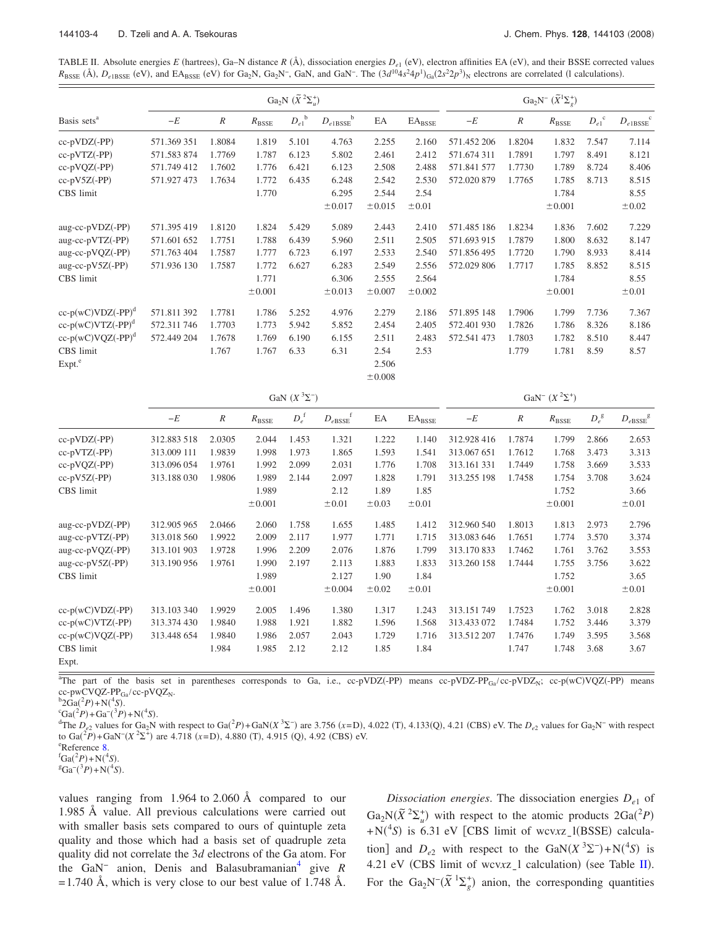<span id="page-3-0"></span>TABLE II. Absolute energies E (hartrees), Ga–N distance  $R(\hat{A})$ , dissociation energies  $D_{e1}$  (eV), electron affinities EA (eV), and their BSSE corrected values  $R_{\text{BSE}}$  (Å),  $D_{e1\text{BSE}}$  (eV), and EA<sub>BSSE</sub> (eV) for Ga<sub>2</sub>N, Ga<sub>2</sub>N<sup>-</sup>, GaN, and GaN<sup>-</sup>. The  $(3d^{10}4s^24p^1)_{Ga}(2s^22p^3)_N$  electrons are correlated (1 calculations).

|                         |             |                  |                  | Ga <sub>2</sub> N $(\widetilde{X}^2\Sigma_u^+)$ | Ga <sub>2</sub> N <sup>-</sup> $(\widetilde{X}^1\Sigma^+_{\rho})$ |        |                 |             |        |                  |                    |                        |
|-------------------------|-------------|------------------|------------------|-------------------------------------------------|-------------------------------------------------------------------|--------|-----------------|-------------|--------|------------------|--------------------|------------------------|
| Basis sets <sup>a</sup> | $-E$        | $\boldsymbol{R}$ | $R_{\rm{BSSE}}$  | $D_{e1}^{\ \ b}$                                | $D_{e1\text{BSSE}}^{\qquad b}$                                    | EA     | $EA_{\rm BSSE}$ | $-E$        | $\,R$  | $R_{\rm BSSE}$   | $D_{e1}^{\quad c}$ | $D_{e1BSSE}^{\quad c}$ |
| $cc-pVDZ(-PP)$          | 571.369 351 | 1.8084           | 1.819            | 5.101                                           | 4.763                                                             | 2.255  | 2.160           | 571.452 206 | 1.8204 | 1.832            | 7.547              | 7.114                  |
| $cc-pVTZ(-PP)$          | 571.583 874 | 1.7769           | 1.787            | 6.123                                           | 5.802                                                             | 2.461  | 2.412           | 571.674 311 | 1.7891 | 1.797            | 8.491              | 8.121                  |
| $cc-pVQZ(-PP)$          | 571.749 412 | 1.7602           | 1.776            | 6.421                                           | 6.123                                                             | 2.508  | 2.488           | 571.841 577 | 1.7730 | 1.789            | 8.724              | 8.406                  |
| $cc-pV5Z(-PP)$          | 571.927 473 | 1.7634           | 1.772            | 6.435                                           | 6.248                                                             | 2.542  | 2.530           | 572.020 879 | 1.7765 | 1.785            | 8.713              | 8.515                  |
| CBS limit               |             |                  | 1.770            |                                                 | 6.295                                                             | 2.544  | 2.54            |             |        | 1.784            |                    | 8.55                   |
|                         |             |                  |                  |                                                 | ±0.017                                                            | ±0.015 | ±0.01           |             |        | ±0.001           |                    | ±0.02                  |
| $aug-cc-pVDZ(-PP)$      | 571.395 419 | 1.8120           | 1.824            | 5.429                                           | 5.089                                                             | 2.443  | 2.410           | 571.485 186 | 1.8234 | 1.836            | 7.602              | 7.229                  |
| $aug-cc-pVTZ(-PP)$      | 571.601 652 | 1.7751           | 1.788            | 6.439                                           | 5.960                                                             | 2.511  | 2.505           | 571.693 915 | 1.7879 | 1.800            | 8.632              | 8.147                  |
| aug-cc-pVQZ(-PP)        | 571.763 404 | 1.7587           | 1.777            | 6.723                                           | 6.197                                                             | 2.533  | 2.540           | 571.856 495 | 1.7720 | 1.790            | 8.933              | 8.414                  |
| $aug-cc-pV5Z(-PP)$      | 571.936 130 | 1.7587           | 1.772            | 6.627                                           | 6.283                                                             | 2.549  | 2.556           | 572.029 806 | 1.7717 | 1.785            | 8.852              | 8.515                  |
| CBS limit               |             |                  | 1.771            |                                                 | 6.306                                                             | 2.555  | 2.564           |             |        | 1.784            |                    | 8.55                   |
|                         |             |                  | ±0.001           |                                                 | ±0.013                                                            | ±0.007 | ±0.002          |             |        | ±0.001           |                    | ±0.01                  |
| $cc-p(wC)VDZ(-PP)d$     | 571.811 392 | 1.7781           | 1.786            | 5.252                                           | 4.976                                                             | 2.279  | 2.186           | 571.895 148 | 1.7906 | 1.799            | 7.736              | 7.367                  |
| $cc-p(wC)VTZ(-PP)^d$    | 572.311 746 | 1.7703           | 1.773            | 5.942                                           | 5.852                                                             | 2.454  | 2.405           | 572.401 930 | 1.7826 | 1.786            | 8.326              | 8.186                  |
| $cc-p(wC)VQZ(-PP)^d$    | 572.449 204 | 1.7678           | 1.769            | 6.190                                           | 6.155                                                             | 2.511  | 2.483           | 572.541 473 | 1.7803 | 1.782            | 8.510              | 8.447                  |
| CBS limit               |             | 1.767            | 1.767            | 6.33                                            | 6.31                                                              | 2.54   | 2.53            |             | 1.779  | 1.781            | 8.59               | 8.57                   |
| Expt. <sup>e</sup>      |             |                  |                  |                                                 |                                                                   | 2.506  |                 |             |        |                  |                    |                        |
|                         |             |                  |                  |                                                 |                                                                   | ±0.008 |                 |             |        |                  |                    |                        |
|                         |             |                  |                  | GaN $(X^3\Sigma^-)$                             | GaN <sup>-</sup> $(X^2\Sigma^+)$                                  |        |                 |             |        |                  |                    |                        |
|                         | $-F$        | $R$ and $R$      | $R_{\text{max}}$ | $\mathbf{D}^{\text{f}}$                         | $D \sim$                                                          | FA     | $FA$ ----       | $-F$        | R      | $R_{\text{---}}$ | D <sup>g</sup>     | $D = -$ <sup>g</sup>   |

|                    | $-E$        | R      | $R_{\rm BSSE}$ | $D_e^{\text{f}}$ | $D_{e{\rm BSSE}}$ | EA         | $EA_{\rm BSSE}$ | $-E$        | R      | $R_{\rm BSSE}$ | $D_e^{\text{g}}$ | $D_{e{\rm BSSE}}^{\qquad \  g}$ |
|--------------------|-------------|--------|----------------|------------------|-------------------|------------|-----------------|-------------|--------|----------------|------------------|---------------------------------|
| $cc-pVDZ(-PP)$     | 312.883 518 | 2.0305 | 2.044          | 1.453            | 1.321             | 1.222      | 1.140           | 312.928 416 | 1.7874 | 1.799          | 2.866            | 2.653                           |
| $cc-pVTZ(-PP)$     | 313.009 111 | 1.9839 | 1.998          | 1.973            | 1.865             | 1.593      | 1.541           | 313.067 651 | 1.7612 | 1.768          | 3.473            | 3.313                           |
| $cc-pVQZ(-PP)$     | 313.096 054 | 1.9761 | 1.992          | 2.099            | 2.031             | 1.776      | 1.708           | 313.161 331 | 1.7449 | 1.758          | 3.669            | 3.533                           |
| $cc-pV5Z(-PP)$     | 313.188 030 | 1.9806 | 1.989          | 2.144            | 2.097             | 1.828      | 1.791           | 313.255 198 | 1.7458 | 1.754          | 3.708            | 3.624                           |
| CBS limit          |             |        | 1.989          |                  | 2.12              | 1.89       | 1.85            |             |        | 1.752          |                  | 3.66                            |
|                    |             |        | $\pm 0.001$    |                  | $\pm 0.01$        | $\pm 0.03$ | $\pm 0.01$      |             |        | ± 0.001        |                  | $\pm 0.01$                      |
| aug-cc-pVDZ(-PP)   | 312.905 965 | 2.0466 | 2.060          | 1.758            | 1.655             | 1.485      | 1.412           | 312.960 540 | 1.8013 | 1.813          | 2.973            | 2.796                           |
| aug-cc-pVTZ(-PP)   | 313.018 560 | 1.9922 | 2.009          | 2.117            | 1.977             | 1.771      | 1.715           | 313.083 646 | 1.7651 | 1.774          | 3.570            | 3.374                           |
| aug-cc-pVQZ(-PP)   | 313.101 903 | 1.9728 | 1.996          | 2.209            | 2.076             | 1.876      | 1.799           | 313.170 833 | 1.7462 | 1.761          | 3.762            | 3.553                           |
| $aug-cc-pV5Z(-PP)$ | 313.190 956 | 1.9761 | 1.990          | 2.197            | 2.113             | 1.883      | 1.833           | 313.260 158 | 1.7444 | 1.755          | 3.756            | 3.622                           |
| CBS limit          |             |        | 1.989          |                  | 2.127             | 1.90       | 1.84            |             |        | 1.752          |                  | 3.65                            |
|                    |             |        | ±0.001         |                  | ±0.004            | $\pm 0.02$ | $\pm 0.01$      |             |        | ± 0.001        |                  | $\pm 0.01$                      |
| $cc-p(wC)VDZ(-PP)$ | 313.103 340 | 1.9929 | 2.005          | 1.496            | 1.380             | 1.317      | 1.243           | 313.151 749 | 1.7523 | 1.762          | 3.018            | 2.828                           |
| $cc-p(wC)VTZ(-PP)$ | 313.374 430 | 1.9840 | 1.988          | 1.921            | 1.882             | 1.596      | 1.568           | 313.433 072 | 1.7484 | 1.752          | 3.446            | 3.379                           |
| $cc-p(wC)VQZ(-PP)$ | 313.448 654 | 1.9840 | 1.986          | 2.057            | 2.043             | 1.729      | 1.716           | 313.512 207 | 1.7476 | 1.749          | 3.595            | 3.568                           |
| CBS limit          |             | 1.984  | 1.985          | 2.12             | 2.12              | 1.85       | 1.84            |             | 1.747  | 1.748          | 3.68             | 3.67                            |
| Expt.              |             |        |                |                  |                   |            |                 |             |        |                |                  |                                 |

<sup>a</sup>The part of the basis set in parentheses corresponds to Ga, i.e., cc-pVDZ(-PP) means cc-pVDZ-PP<sub>Ga</sub>/cc-pVDZ<sub>N</sub>; cc-p(wC)VQZ(-PP) means cc-pwCVQZ-P $P_{Ga}/cc$ -pVQZ<sub>N</sub>.

 ${}^{b}2Ga({}^{2}P) + N({}^{4}S).$ <br> ${}^{c}Ga({}^{2}B) + G_{2}({}^{3}B).$ 

 ${}^{c}Ga(^{2}P) + Ga^{-}({}^{3}P) + N({}^{4}S).$ <br><sup>d</sup>The *D*-velves for Ge N.

The  $D_{e2}$  values for Ga<sub>2</sub>N with respect to Ga(<sup>2</sup>P)+GaN( $X$ <sup>3</sup> $\Sigma^-$ ) are 3.756 (x=D), 4.022 (T), 4.133(Q), 4.21 (CBS) eV. The  $D_{e2}$  values for Ga<sub>2</sub>N<sup>-</sup> with respect to Ga(<sup>2</sup>P)+GaN<sup>-</sup> $(X^2\Sigma^+)$  are 4.718  $(x=D)$ , 4.880 (T), 4.915 (Q), 4.92 (CBS) eV.

<sup>e</sup>Reference [8.](#page-6-5)

 ${}^{f}Ga(^{2}P) + N(^{4}S)$ .<br> ${}^{g}Ga^{-}({}^{3}B) + N(^{4}S)$ 

 $Ga^{-}(^{3}P) + N(^{4}S)$ .

values ranging from 1.964 to 2.060 Å compared to our 1.985 Å value. All previous calculations were carried out with smaller basis sets compared to ours of quintuple zeta quality and those which had a basis set of quadruple zeta quality did not correlate the 3*d* electrons of the Ga atom. For the GaN<sup>−</sup> anion, Denis and Balasubramanian<sup>4</sup> give *R*  $= 1.740$  Å, which is very close to our best value of 1.748 Å.

*Dissociation energies*. The dissociation energies *De*<sup>1</sup> of  $Ga_2N(\tilde{X}^2\Sigma_u^+)$  with respect to the atomic products  $2Ga(^2P)$  $+N(^{4}S)$  is 6.31 eV [CBS limit of wcvxz<sub>\_</sub>l(BSSE) calculation] and  $D_{e2}$  with respect to the GaN( $X^3\Sigma^-$ )+N(<sup>4</sup>S) is 4.21 eV (CBS limit of wcvxz<sub>1</sub>l calculation) (see Table [II](#page-3-0)). For the Ga<sub>2</sub>N<sup>-</sup> $(\tilde{X}^{-1}\Sigma_g^+)$  anion, the corresponding quantities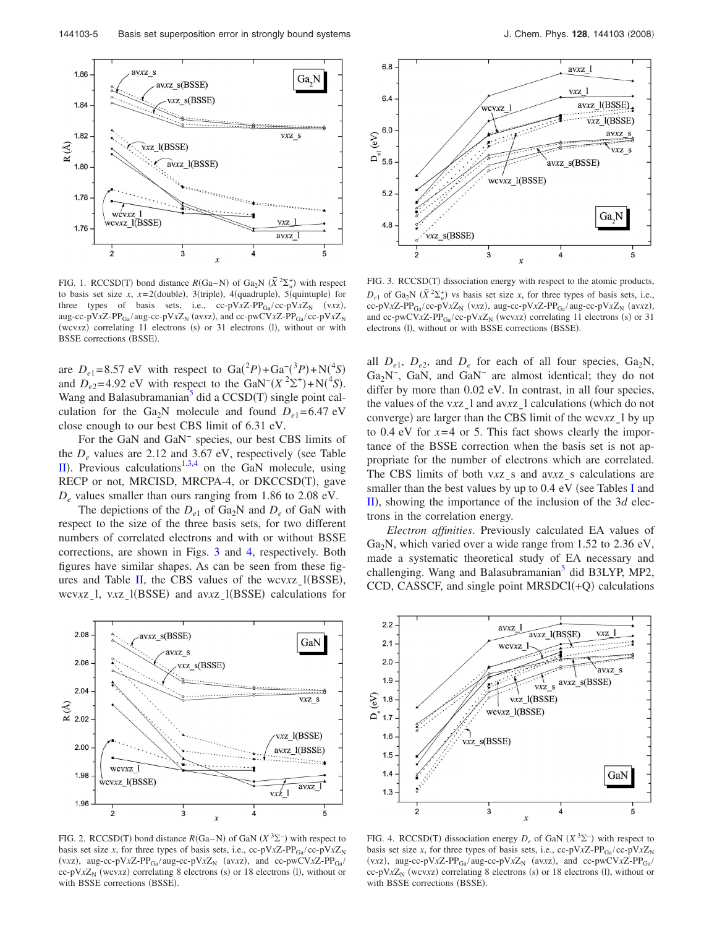144103-5 Basis set superposition error in strongly bound systems

<span id="page-4-0"></span>

FIG. 1. RCCSD(T) bond distance  $R(Ga-N)$  of  $Ga_2N$   $(\tilde{X}^2\Sigma_u^+)$  with respect to basis set size  $x$ ,  $x=2$ (double), 3(triple), 4(quadruple), 5(quintuple) for three types of basis sets, i.e., cc-pV*x*Z-PP<sub>Ga</sub>/cc-pV*x*Z<sub>N</sub> (v*xz*), aug-cc-pV*x*Z-PP<sub>Ga</sub>/ aug-cc-pV*x*Z<sub>N</sub> (av*xz*), and cc-pwCV*x*Z-PP<sub>Ga</sub>/cc-pV*x*Z<sub>N</sub> (wcvxz) correlating 11 electrons (s) or 31 electrons (l), without or with BSSE corrections (BSSE).

are  $D_{e1} = 8.57$  eV with respect to  $Ga(^{2}P) + Ga^{-}(^{3}P) + N(^{4}S)$ and  $D_{e2} = 4.92$  eV with respect to the GaN<sup>-</sup> $(X^2\Sigma^+) + N(^4S)$ . Wang and Balasubramanian $\overline{5}$  did a CCSD(T) single point calculation for the Ga<sub>2</sub>N molecule and found  $D_{e1} = 6.47$  eV close enough to our best CBS limit of 6.31 eV.

For the GaN and GaN<sup>−</sup> species, our best CBS limits of the  $D_e$  values are 2.12 and 3.67 eV, respectively (see Table [II](#page-3-0)). Previous calculations<sup>1,[3,](#page-6-18)[4](#page-6-1)</sup> on the GaN molecule, using RECP or not, MRCISD, MRCPA-4, or DKCCSD(T), gave *De* values smaller than ours ranging from 1.86 to 2.08 eV.

The depictions of the  $D_{e1}$  of Ga<sub>2</sub>N and  $D_e$  of GaN with respect to the size of the three basis sets, for two different numbers of correlated electrons and with or without BSSE corrections, are shown in Figs. [3](#page-4-2) and [4,](#page-4-3) respectively. Both figures have similar shapes. As can be seen from these fig-ures and Table [II,](#page-3-0) the CBS values of the wcvxz<sub>\_1</sub>(BSSE), wcv*xz*<sub>\_1</sub>, v*xz*<sub>\_1</sub>(BSSE) and av*xz*<sub>\_1</sub>(BSSE) calculations for

<span id="page-4-1"></span>

FIG. 2. RCCSD(T) bond distance  $R(Ga-N)$  of GaN  $(X^3\Sigma^-)$  with respect to basis set size *x*, for three types of basis sets, i.e., cc-pV $xZ$ -PP<sub>Ga</sub>/cc-pV $xZ_N$ (v*xz*), aug-cc-pV*x*Z-PP<sub>Ga</sub>/aug-cc-pV*x*Z<sub>N</sub> (av*xz*), and cc-pwCV*x*Z-PP<sub>Ga</sub>/  $cc-pVxZ_N$  (wcv*xz*) correlating 8 electrons (s) or 18 electrons (l), without or with BSSE corrections (BSSE).

<span id="page-4-2"></span>

FIG. 3. RCCSD(T) dissociation energy with respect to the atomic products,  $D_{e1}$  of Ga<sub>2</sub>N  $(\tilde{X}^2 \Sigma_u^+)$  vs basis set size *x*, for three types of basis sets, i.e.,  $cc-pVxZ-PP_{Ga}/cc-pVxZ_N$  (vxz), aug-cc-pVxZ-PP<sub>Ga</sub>/aug-cc-pVxZ<sub>N</sub> (avxz), and cc-pwCV*x*Z-PP<sub>Ga</sub>/cc-pV*x*Z<sub>N</sub> (wcv*xz*) correlating 11 electrons (s) or 31 electrons (l), without or with BSSE corrections (BSSE).

all  $D_{e1}$ ,  $D_{e2}$ , and  $D_e$  for each of all four species,  $Ga_2N$ ,  $Ga<sub>2</sub>N<sup>-</sup>$ , GaN, and GaN<sup>-</sup> are almost identical; they do not differ by more than  $0.02$  eV. In contrast, in all four species, the values of the v*x*z<sub>1</sub> and av*x*z<sub>1</sub> calculations (which do not converge) are larger than the CBS limit of the wcvxz\_l by up to 0.4 eV for  $x=4$  or 5. This fact shows clearly the importance of the BSSE correction when the basis set is not appropriate for the number of electrons which are correlated. The CBS limits of both v*xz*<sub>s</sub> and av*xz*<sub>s</sub> calculations are smaller than the best values by up to  $0.4 \text{ eV}$  (see Tables [I](#page-2-0) and  $\text{II}$  $\text{II}$  $\text{II}$ ), showing the importance of the inclusion of the 3*d* electrons in the correlation energy.

*Electron affinities*. Previously calculated EA values of  $Ga<sub>2</sub>N$ , which varied over a wide range from 1.52 to 2.36 eV, made a systematic theoretical study of EA necessary and challenging. Wang and Balasubramanian<sup>3</sup> did B3LYP, MP2, CCD, CASSCF, and single point  $MRSDCI(+Q)$  calculations

<span id="page-4-3"></span>

FIG. 4. RCCSD(T) dissociation energy  $D_e$  of GaN  $(X^3\Sigma^-)$  with respect to basis set size *x*, for three types of basis sets, i.e., cc-pV $xZ$ -PP<sub>Ga</sub>/cc-pV $xZ_N$ (v*xz*), aug-cc-pV*x*Z-PP<sub>Ga</sub>/aug-cc-pV*x*Z<sub>N</sub> (av*xz*), and cc-pwCV*x*Z-PP<sub>Ga</sub>/  $cc-pVxZ_N$  (wcv*xz*) correlating 8 electrons (s) or 18 electrons (l), without or with BSSE corrections (BSSE).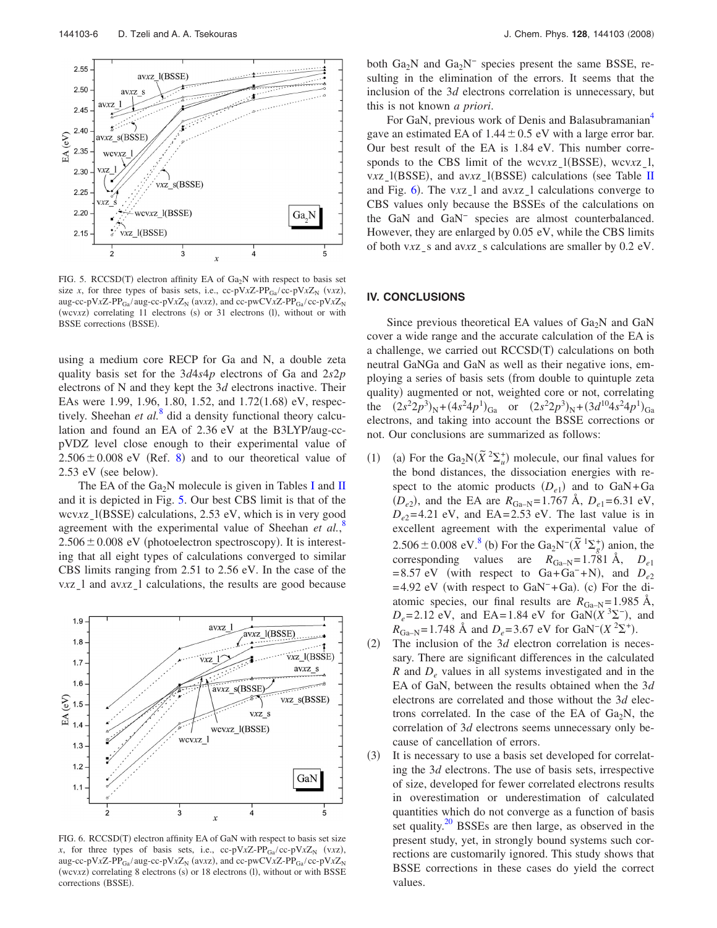<span id="page-5-1"></span>

FIG. 5. RCCSD(T) electron affinity EA of  $Ga<sub>2</sub>N$  with respect to basis set size *x*, for three types of basis sets, i.e., cc-pV*x*Z-PP<sub>Ga</sub>/cc-pV*x*Z<sub>N</sub> (v*xz*), aug-cc-pV*x*Z-PP<sub>Ga</sub>/ aug-cc-pV*x*Z<sub>N</sub> (av*xz*), and cc-pwCV*x*Z-PP<sub>Ga</sub>/cc-pV*x*Z<sub>N</sub> (wcvxz) correlating 11 electrons (s) or 31 electrons (l), without or with BSSE corrections (BSSE).

using a medium core RECP for Ga and N, a double zeta quality basis set for the 3*d*4*s*4*p* electrons of Ga and 2*s*2*p* electrons of N and they kept the 3*d* electrons inactive. Their EAs were 1.99, 1.96, 1.80, 1.52, and 1.72(1.68) eV, respectively. Sheehan *et al.*<sup>[8](#page-6-5)</sup> did a density functional theory calculation and found an EA of 2.36 eV at the B3LYP/aug-ccpVDZ level close enough to their experimental value of  $2.506 \pm 0.008$  $2.506 \pm 0.008$  eV (Ref. 8) and to our theoretical value of  $2.53$  eV (see below).

The EA of the Ga<sub>2</sub>N molecule is given in Tables [I](#page-2-0) and [II](#page-3-0) and it is depicted in Fig. [5.](#page-5-1) Our best CBS limit is that of the wcvxz\_l(BSSE) calculations, 2.53 eV, which is in very good agreement with the experimental value of Sheehan *et al.*<sup>[8](#page-6-5)</sup>  $2.506 \pm 0.008$  eV (photoelectron spectroscopy). It is interesting that all eight types of calculations converged to similar CBS limits ranging from 2.51 to 2.56 eV. In the case of the *vxz*<sub>1</sub> and av*xz*<sub>1</sub> calculations, the results are good because

<span id="page-5-0"></span>

FIG. 6. RCCSD(T) electron affinity EA of GaN with respect to basis set size *x*, for three types of basis sets, i.e., cc-pV*x*Z-PP<sub>Ga</sub>/cc-pV*x*Z<sub>N</sub> (v*xz*), aug-cc-pV*x*Z-PP<sub>Ga</sub>/ aug-cc-pV*x*Z<sub>N</sub> (av*xz*), and cc-pwCV*x*Z-PP<sub>Ga</sub>/cc-pV*x*Z<sub>N</sub> (wcvxz) correlating 8 electrons (s) or 18 electrons (l), without or with BSSE corrections (BSSE).

both  $Ga_2N$  and  $Ga_2N^-$  species present the same BSSE, resulting in the elimination of the errors. It seems that the inclusion of the 3*d* electrons correlation is unnecessary, but this is not known *a priori*.

For GaN, previous work of Denis and Balasubramanian<sup>4</sup> gave an estimated EA of  $1.44 \pm 0.5$  eV with a large error bar. Our best result of the EA is 1.84 eV. This number corresponds to the CBS limit of the wcvxz<sub>\_</sub>l(BSSE), wcvxz<sub>\_</sub>l, v*x*z<sub>\_</sub>l(BSSE), and av*xz*<sub>\_</sub>l(BSSE) calculations (see Table [II](#page-3-0) and Fig. [6](#page-5-0)). The vxz<sub>\_</sub>l and avxz<sub>\_</sub>l calculations converge to CBS values only because the BSSEs of the calculations on the GaN and GaN<sup>−</sup> species are almost counterbalanced. However, they are enlarged by 0.05 eV, while the CBS limits of both v*x*z<sub>s</sub> and av*x*z<sub>s</sub> calculations are smaller by 0.2 eV.

#### **IV. CONCLUSIONS**

Since previous theoretical EA values of  $Ga<sub>2</sub>N$  and  $GaN$ cover a wide range and the accurate calculation of the EA is a challenge, we carried out RCCSD(T) calculations on both neutral GaNGa and GaN as well as their negative ions, employing a series of basis sets (from double to quintuple zeta quality) augmented or not, weighted core or not, correlating the  $(2s^2 2p^3)_N + (4s^2 4p^1)_{Ga}$  or  $(2s^2 2p^3)_N + (3d^{10} 4s^2 4p^1)_{Ga}$ electrons, and taking into account the BSSE corrections or not. Our conclusions are summarized as follows:

- $(1)$ (a) For the  $Ga_2N(\tilde{X})^2\Sigma_u^+$  molecule, our final values for the bond distances, the dissociation energies with respect to the atomic products  $(D_{e1})$  and to  $GaN+Ga$  $(D_{e2})$ , and the EA are  $R_{Ga-N} = 1.767 \text{ Å}, D_{e1} = 6.31 \text{ eV},$  $D_{e2}$ =4.21 eV, and EA=2.53 eV. The last value is in excellent agreement with the experimental value of 2.506 ± 0.008 eV.<sup>8</sup> (b) For the  $Ga_2N^{-}(\tilde{X}^{-1}\Sigma_g^+)$  anion, the corresponding values are  $R_{Ga-N} = 1.781 \text{ Å}, D_{e1}$  $= 8.57$  eV (with respect to Ga+Ga<sup>-</sup>+N), and  $D_{e2}$  $= 4.92$  eV (with respect to GaN<sup>-</sup>+Ga). (c) For the diatomic species, our final results are  $R_{Ga-N} = 1.985 \text{ Å}$ ,  $D_e = 2.12$  eV, and EA= 1.84 eV for GaN( $X^3\Sigma^-$ ), and  $R_{\text{Ga-N}} = 1.748 \text{ Å}$  and  $D_e = 3.67 \text{ eV}$  for GaN<sup>-</sup> $(X^2\Sigma^+)$ .
- $(2)$  The inclusion of the 3*d* electron correlation is necessary. There are significant differences in the calculated *R* and  $D_e$  values in all systems investigated and in the EA of GaN, between the results obtained when the 3*d* electrons are correlated and those without the 3*d* electrons correlated. In the case of the EA of  $Ga<sub>2</sub>N$ , the correlation of 3*d* electrons seems unnecessary only because of cancellation of errors.
- $(3)$  It is necessary to use a basis set developed for correlating the 3*d* electrons. The use of basis sets, irrespective of size, developed for fewer correlated electrons results in overestimation or underestimation of calculated quantities which do not converge as a function of basis set quality. $20$  BSSEs are then large, as observed in the present study, yet, in strongly bound systems such corrections are customarily ignored. This study shows that BSSE corrections in these cases do yield the correct values.